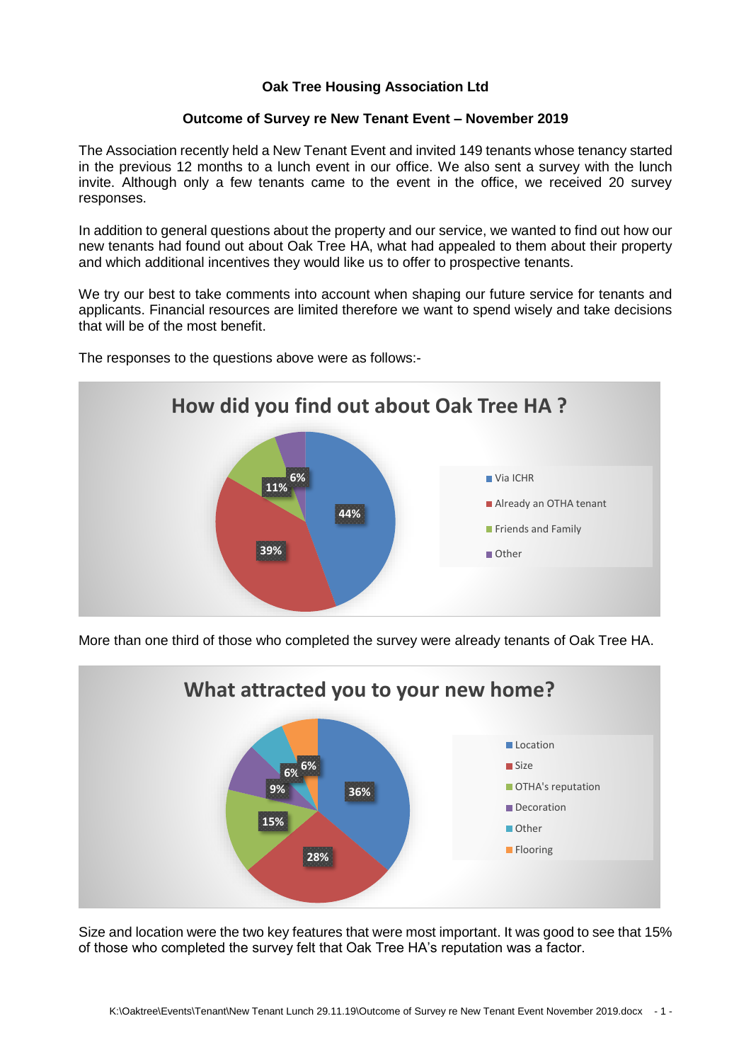## **Oak Tree Housing Association Ltd**

## **Outcome of Survey re New Tenant Event – November 2019**

The Association recently held a New Tenant Event and invited 149 tenants whose tenancy started in the previous 12 months to a lunch event in our office. We also sent a survey with the lunch invite. Although only a few tenants came to the event in the office, we received 20 survey responses.

In addition to general questions about the property and our service, we wanted to find out how our new tenants had found out about Oak Tree HA, what had appealed to them about their property and which additional incentives they would like us to offer to prospective tenants.

We try our best to take comments into account when shaping our future service for tenants and applicants. Financial resources are limited therefore we want to spend wisely and take decisions that will be of the most benefit.



The responses to the questions above were as follows:-

More than one third of those who completed the survey were already tenants of Oak Tree HA.



Size and location were the two key features that were most important. It was good to see that 15% of those who completed the survey felt that Oak Tree HA's reputation was a factor.